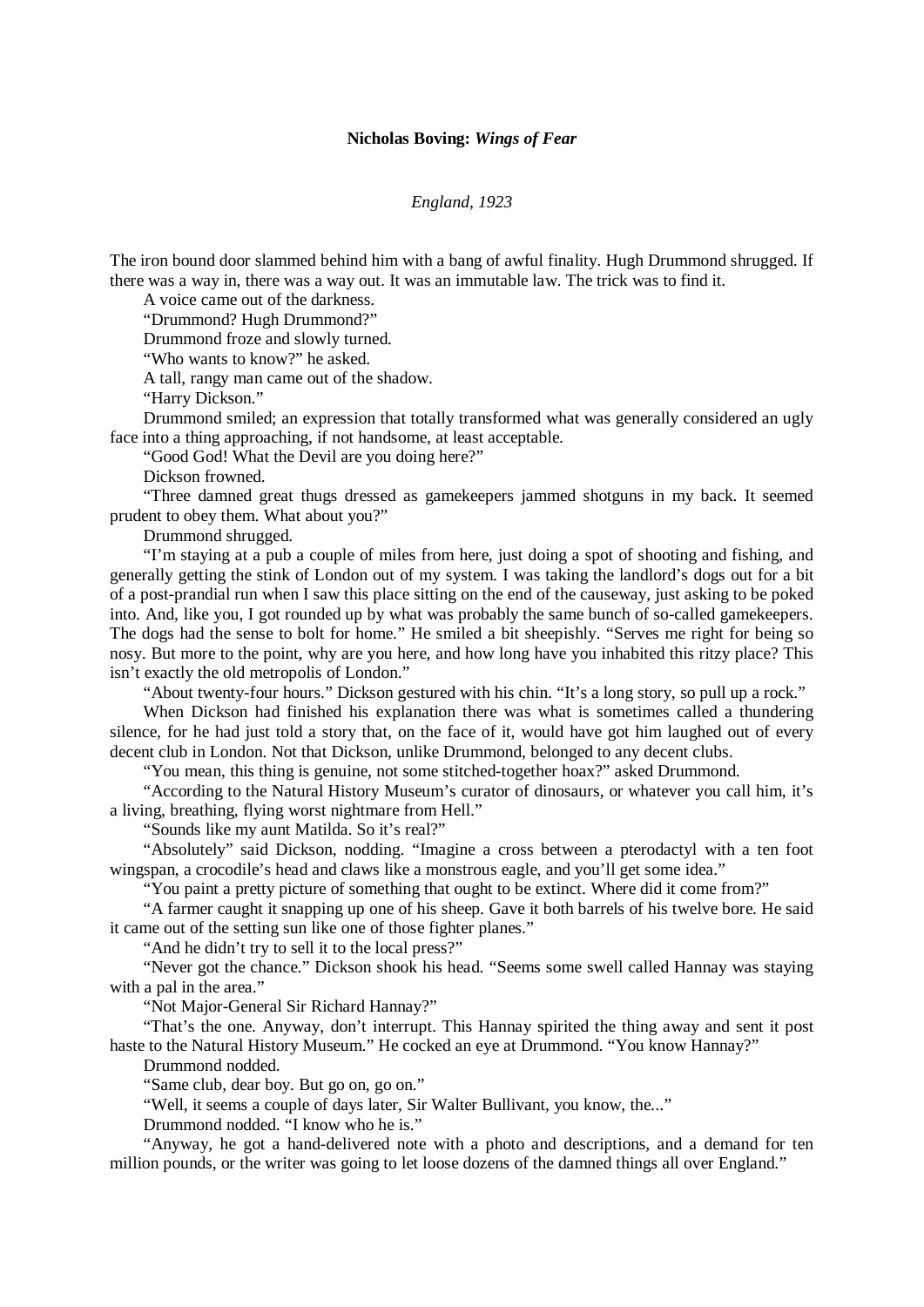## **Nicholas Boving:** *Wings of Fear*

## *England, 1923*

The iron bound door slammed behind him with a bang of awful finality. Hugh Drummond shrugged. If there was a way in, there was a way out. It was an immutable law. The trick was to find it.

A voice came out of the darkness.

"Drummond? Hugh Drummond?"

Drummond froze and slowly turned.

"Who wants to know?" he asked.

A tall, rangy man came out of the shadow.

"Harry Dickson."

Drummond smiled; an expression that totally transformed what was generally considered an ugly face into a thing approaching, if not handsome, at least acceptable.

"Good God! What the Devil are you doing here?"

Dickson frowned.

"Three damned great thugs dressed as gamekeepers jammed shotguns in my back. It seemed prudent to obey them. What about you?"

Drummond shrugged.

"I'm staying at a pub a couple of miles from here, just doing a spot of shooting and fishing, and generally getting the stink of London out of my system. I was taking the landlord's dogs out for a bit of a post-prandial run when I saw this place sitting on the end of the causeway, just asking to be poked into. And, like you, I got rounded up by what was probably the same bunch of so-called gamekeepers. The dogs had the sense to bolt for home." He smiled a bit sheepishly. "Serves me right for being so nosy. But more to the point, why are you here, and how long have you inhabited this ritzy place? This isn't exactly the old metropolis of London."

"About twenty-four hours." Dickson gestured with his chin. "It's a long story, so pull up a rock."

When Dickson had finished his explanation there was what is sometimes called a thundering silence, for he had just told a story that, on the face of it, would have got him laughed out of every decent club in London. Not that Dickson, unlike Drummond, belonged to any decent clubs.

"You mean, this thing is genuine, not some stitched-together hoax?" asked Drummond.

"According to the Natural History Museum's curator of dinosaurs, or whatever you call him, it's a living, breathing, flying worst nightmare from Hell."

"Sounds like my aunt Matilda. So it's real?"

"Absolutely" said Dickson, nodding. "Imagine a cross between a pterodactyl with a ten foot wingspan, a crocodile's head and claws like a monstrous eagle, and you'll get some idea."

"You paint a pretty picture of something that ought to be extinct. Where did it come from?"

"A farmer caught it snapping up one of his sheep. Gave it both barrels of his twelve bore. He said it came out of the setting sun like one of those fighter planes."

"And he didn't try to sell it to the local press?"

"Never got the chance." Dickson shook his head. "Seems some swell called Hannay was staying with a pal in the area."

"Not Major-General Sir Richard Hannay?"

"That's the one. Anyway, don't interrupt. This Hannay spirited the thing away and sent it post haste to the Natural History Museum." He cocked an eye at Drummond. "You know Hannay?"

Drummond nodded.

"Same club, dear boy. But go on, go on."

"Well, it seems a couple of days later, Sir Walter Bullivant, you know, the..."

Drummond nodded. "I know who he is."

"Anyway, he got a hand-delivered note with a photo and descriptions, and a demand for ten million pounds, or the writer was going to let loose dozens of the damned things all over England."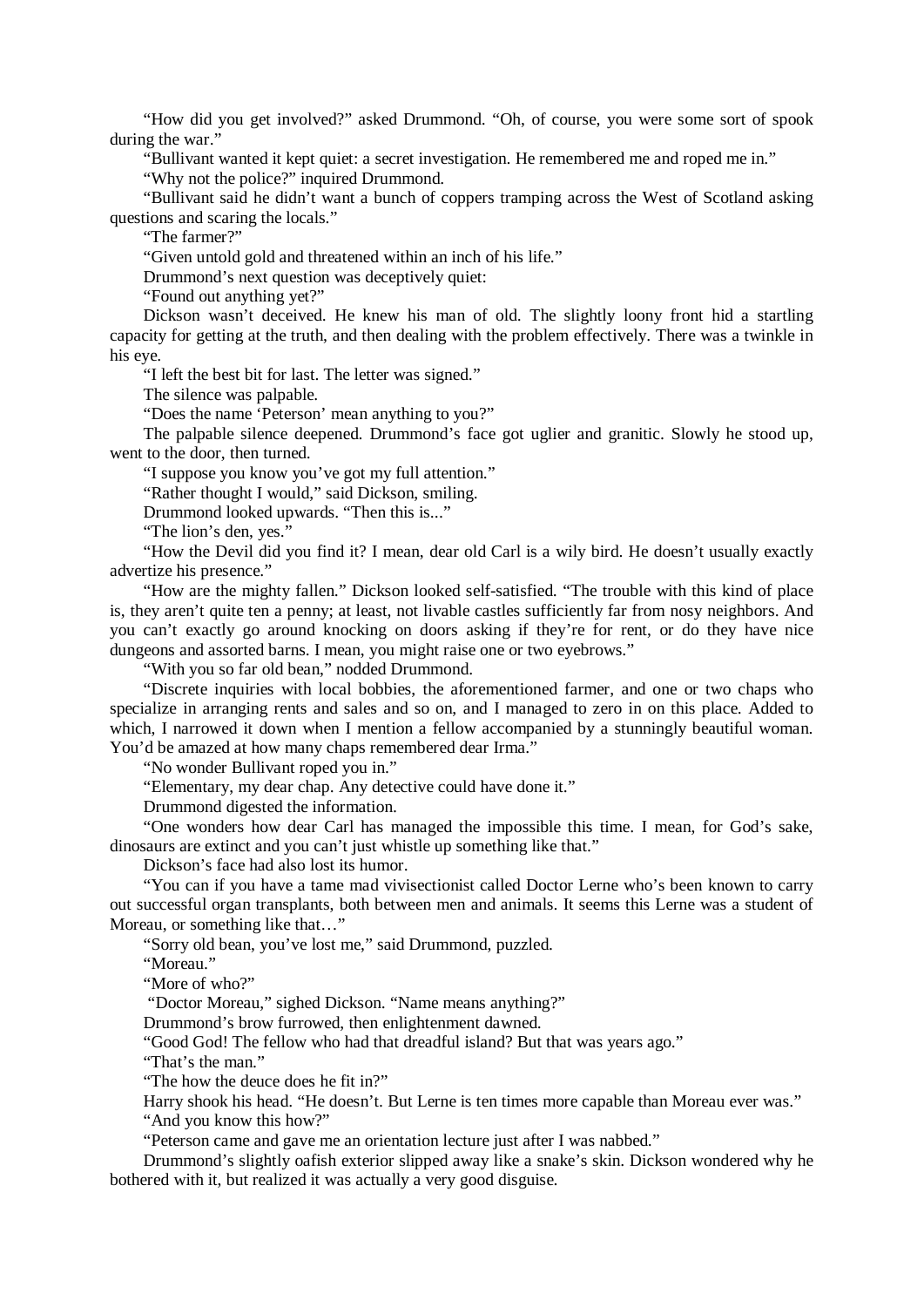"How did you get involved?" asked Drummond. "Oh, of course, you were some sort of spook during the war."

"Bullivant wanted it kept quiet: a secret investigation. He remembered me and roped me in."

"Why not the police?" inquired Drummond.

"Bullivant said he didn't want a bunch of coppers tramping across the West of Scotland asking questions and scaring the locals."

"The farmer?"

"Given untold gold and threatened within an inch of his life."

Drummond's next question was deceptively quiet:

"Found out anything yet?"

Dickson wasn't deceived. He knew his man of old. The slightly loony front hid a startling capacity for getting at the truth, and then dealing with the problem effectively. There was a twinkle in his eye.

"I left the best bit for last. The letter was signed."

The silence was palpable.

"Does the name 'Peterson' mean anything to you?"

The palpable silence deepened. Drummond's face got uglier and granitic. Slowly he stood up, went to the door, then turned.

"I suppose you know you've got my full attention."

"Rather thought I would," said Dickson, smiling.

Drummond looked upwards. "Then this is..."

"The lion's den, yes."

"How the Devil did you find it? I mean, dear old Carl is a wily bird. He doesn't usually exactly advertize his presence."

"How are the mighty fallen." Dickson looked self-satisfied. "The trouble with this kind of place is, they aren't quite ten a penny; at least, not livable castles sufficiently far from nosy neighbors. And you can't exactly go around knocking on doors asking if they're for rent, or do they have nice dungeons and assorted barns. I mean, you might raise one or two eyebrows."

"With you so far old bean," nodded Drummond.

"Discrete inquiries with local bobbies, the aforementioned farmer, and one or two chaps who specialize in arranging rents and sales and so on, and I managed to zero in on this place. Added to which, I narrowed it down when I mention a fellow accompanied by a stunningly beautiful woman. You'd be amazed at how many chaps remembered dear Irma."

"No wonder Bullivant roped you in."

"Elementary, my dear chap. Any detective could have done it."

Drummond digested the information.

"One wonders how dear Carl has managed the impossible this time. I mean, for God's sake, dinosaurs are extinct and you can't just whistle up something like that."

Dickson's face had also lost its humor.

"You can if you have a tame mad vivisectionist called Doctor Lerne who's been known to carry out successful organ transplants, both between men and animals. It seems this Lerne was a student of Moreau, or something like that…"

"Sorry old bean, you've lost me," said Drummond, puzzled.

"Moreau"

"More of who?"

"Doctor Moreau," sighed Dickson. "Name means anything?"

Drummond's brow furrowed, then enlightenment dawned.

"Good God! The fellow who had that dreadful island? But that was years ago."

"That's the man."

"The how the deuce does he fit in?"

Harry shook his head. "He doesn't. But Lerne is ten times more capable than Moreau ever was."

"And you know this how?"

"Peterson came and gave me an orientation lecture just after I was nabbed."

Drummond's slightly oafish exterior slipped away like a snake's skin. Dickson wondered why he bothered with it, but realized it was actually a very good disguise.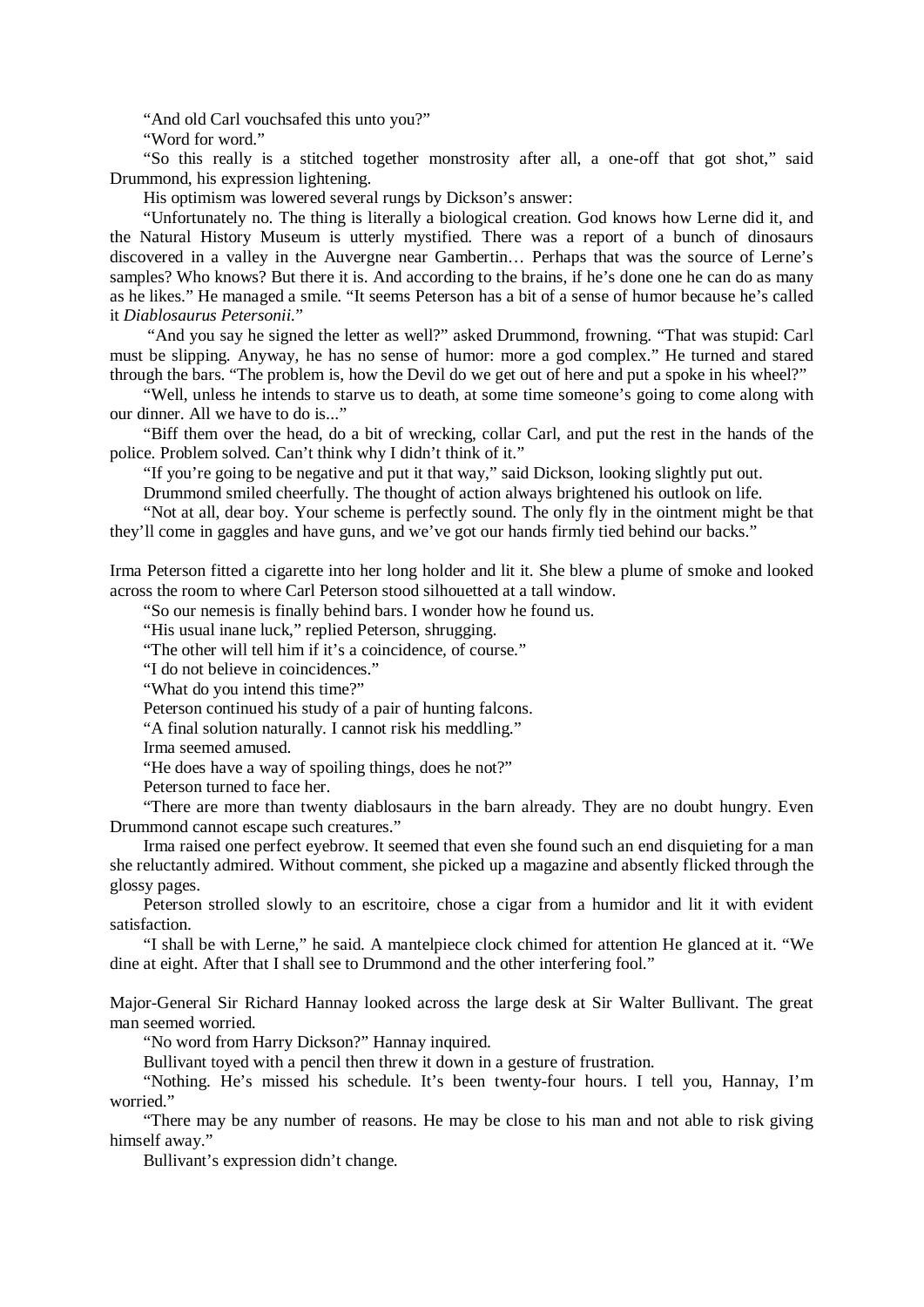"And old Carl vouchsafed this unto you?"

"Word for word."

"So this really is a stitched together monstrosity after all, a one-off that got shot," said Drummond, his expression lightening.

His optimism was lowered several rungs by Dickson's answer:

"Unfortunately no. The thing is literally a biological creation. God knows how Lerne did it, and the Natural History Museum is utterly mystified. There was a report of a bunch of dinosaurs discovered in a valley in the Auvergne near Gambertin… Perhaps that was the source of Lerne's samples? Who knows? But there it is. And according to the brains, if he's done one he can do as many as he likes." He managed a smile. "It seems Peterson has a bit of a sense of humor because he's called it *Diablosaurus Petersonii.*"

"And you say he signed the letter as well?" asked Drummond, frowning. "That was stupid: Carl must be slipping. Anyway, he has no sense of humor: more a god complex." He turned and stared through the bars. "The problem is, how the Devil do we get out of here and put a spoke in his wheel?"

"Well, unless he intends to starve us to death, at some time someone's going to come along with our dinner. All we have to do is..."

"Biff them over the head, do a bit of wrecking, collar Carl, and put the rest in the hands of the police. Problem solved. Can't think why I didn't think of it."

"If you're going to be negative and put it that way," said Dickson, looking slightly put out.

Drummond smiled cheerfully. The thought of action always brightened his outlook on life.

"Not at all, dear boy. Your scheme is perfectly sound. The only fly in the ointment might be that they'll come in gaggles and have guns, and we've got our hands firmly tied behind our backs."

Irma Peterson fitted a cigarette into her long holder and lit it. She blew a plume of smoke and looked across the room to where Carl Peterson stood silhouetted at a tall window.

"So our nemesis is finally behind bars. I wonder how he found us.

"His usual inane luck," replied Peterson, shrugging.

"The other will tell him if it's a coincidence, of course."

"I do not believe in coincidences."

"What do you intend this time?"

Peterson continued his study of a pair of hunting falcons.

"A final solution naturally. I cannot risk his meddling."

Irma seemed amused.

"He does have a way of spoiling things, does he not?"

Peterson turned to face her.

"There are more than twenty diablosaurs in the barn already. They are no doubt hungry. Even Drummond cannot escape such creatures."

Irma raised one perfect eyebrow. It seemed that even she found such an end disquieting for a man she reluctantly admired. Without comment, she picked up a magazine and absently flicked through the glossy pages.

Peterson strolled slowly to an escritoire, chose a cigar from a humidor and lit it with evident satisfaction.

"I shall be with Lerne," he said. A mantelpiece clock chimed for attention He glanced at it. "We dine at eight. After that I shall see to Drummond and the other interfering fool."

Major-General Sir Richard Hannay looked across the large desk at Sir Walter Bullivant. The great man seemed worried.

"No word from Harry Dickson?" Hannay inquired.

Bullivant toyed with a pencil then threw it down in a gesture of frustration.

"Nothing. He's missed his schedule. It's been twenty-four hours. I tell you, Hannay, I'm worried."

"There may be any number of reasons. He may be close to his man and not able to risk giving himself away."

Bullivant's expression didn't change.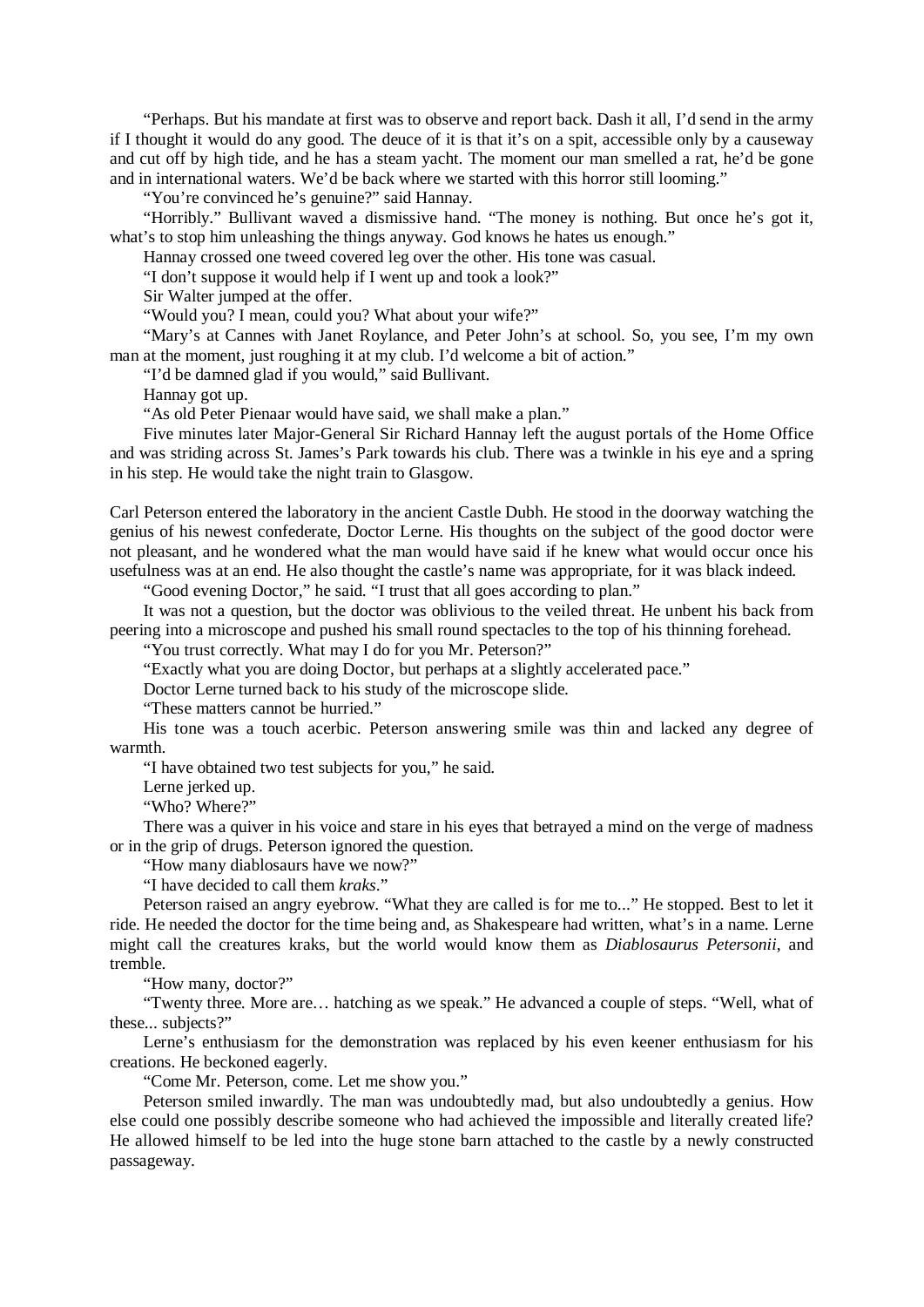"Perhaps. But his mandate at first was to observe and report back. Dash it all, I'd send in the army if I thought it would do any good. The deuce of it is that it's on a spit, accessible only by a causeway and cut off by high tide, and he has a steam yacht. The moment our man smelled a rat, he'd be gone and in international waters. We'd be back where we started with this horror still looming."

"You're convinced he's genuine?" said Hannay.

"Horribly." Bullivant waved a dismissive hand. "The money is nothing. But once he's got it, what's to stop him unleashing the things anyway. God knows he hates us enough."

Hannay crossed one tweed covered leg over the other. His tone was casual.

"I don't suppose it would help if I went up and took a look?"

Sir Walter jumped at the offer.

"Would you? I mean, could you? What about your wife?"

"Mary's at Cannes with Janet Roylance, and Peter John's at school. So, you see, I'm my own man at the moment, just roughing it at my club. I'd welcome a bit of action."

"I'd be damned glad if you would," said Bullivant.

Hannay got up.

"As old Peter Pienaar would have said, we shall make a plan."

Five minutes later Major-General Sir Richard Hannay left the august portals of the Home Office and was striding across St. James's Park towards his club. There was a twinkle in his eye and a spring in his step. He would take the night train to Glasgow.

Carl Peterson entered the laboratory in the ancient Castle Dubh. He stood in the doorway watching the genius of his newest confederate, Doctor Lerne. His thoughts on the subject of the good doctor were not pleasant, and he wondered what the man would have said if he knew what would occur once his usefulness was at an end. He also thought the castle's name was appropriate, for it was black indeed.

"Good evening Doctor," he said. "I trust that all goes according to plan."

It was not a question, but the doctor was oblivious to the veiled threat. He unbent his back from peering into a microscope and pushed his small round spectacles to the top of his thinning forehead.

"You trust correctly. What may I do for you Mr. Peterson?"

"Exactly what you are doing Doctor, but perhaps at a slightly accelerated pace."

Doctor Lerne turned back to his study of the microscope slide.

"These matters cannot be hurried."

His tone was a touch acerbic. Peterson answering smile was thin and lacked any degree of warmth.

"I have obtained two test subjects for you," he said.

Lerne jerked up.

"Who? Where?"

There was a quiver in his voice and stare in his eyes that betrayed a mind on the verge of madness or in the grip of drugs. Peterson ignored the question.

"How many diablosaurs have we now?"

"I have decided to call them *kraks*."

Peterson raised an angry eyebrow. "What they are called is for me to..." He stopped. Best to let it ride. He needed the doctor for the time being and, as Shakespeare had written, what's in a name. Lerne might call the creatures kraks, but the world would know them as *Diablosaurus Petersonii*, and tremble.

"How many, doctor?"

"Twenty three. More are… hatching as we speak." He advanced a couple of steps. "Well, what of these... subjects?"

Lerne's enthusiasm for the demonstration was replaced by his even keener enthusiasm for his creations. He beckoned eagerly.

"Come Mr. Peterson, come. Let me show you."

Peterson smiled inwardly. The man was undoubtedly mad, but also undoubtedly a genius. How else could one possibly describe someone who had achieved the impossible and literally created life? He allowed himself to be led into the huge stone barn attached to the castle by a newly constructed passageway.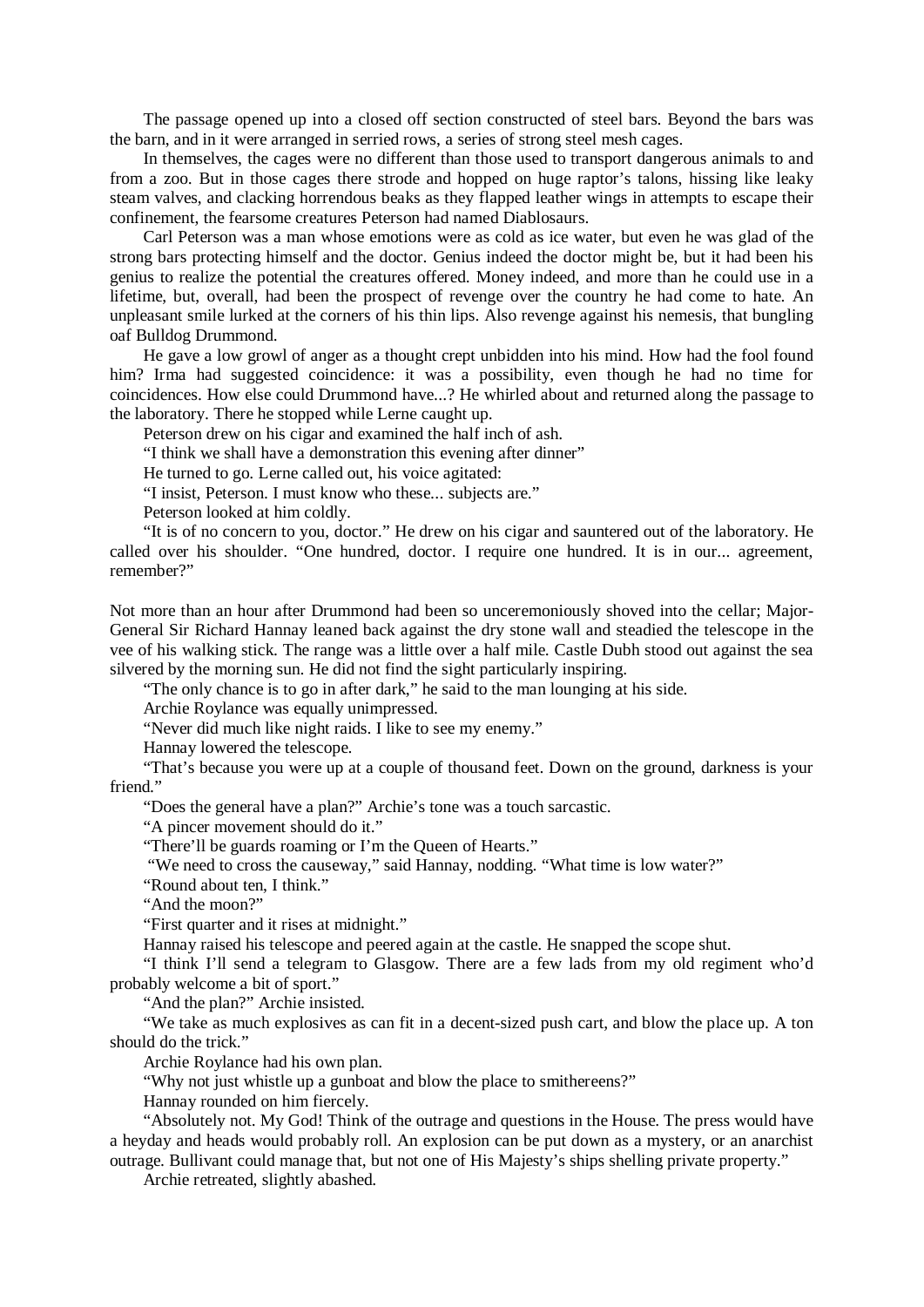The passage opened up into a closed off section constructed of steel bars. Beyond the bars was the barn, and in it were arranged in serried rows, a series of strong steel mesh cages.

In themselves, the cages were no different than those used to transport dangerous animals to and from a zoo. But in those cages there strode and hopped on huge raptor's talons, hissing like leaky steam valves, and clacking horrendous beaks as they flapped leather wings in attempts to escape their confinement, the fearsome creatures Peterson had named Diablosaurs.

Carl Peterson was a man whose emotions were as cold as ice water, but even he was glad of the strong bars protecting himself and the doctor. Genius indeed the doctor might be, but it had been his genius to realize the potential the creatures offered. Money indeed, and more than he could use in a lifetime, but, overall, had been the prospect of revenge over the country he had come to hate. An unpleasant smile lurked at the corners of his thin lips. Also revenge against his nemesis, that bungling oaf Bulldog Drummond.

He gave a low growl of anger as a thought crept unbidden into his mind. How had the fool found him? Irma had suggested coincidence: it was a possibility, even though he had no time for coincidences. How else could Drummond have...? He whirled about and returned along the passage to the laboratory. There he stopped while Lerne caught up.

Peterson drew on his cigar and examined the half inch of ash.

"I think we shall have a demonstration this evening after dinner"

He turned to go. Lerne called out, his voice agitated:

"I insist, Peterson. I must know who these... subjects are."

Peterson looked at him coldly.

"It is of no concern to you, doctor." He drew on his cigar and sauntered out of the laboratory. He called over his shoulder. "One hundred, doctor. I require one hundred. It is in our... agreement, remember?"

Not more than an hour after Drummond had been so unceremoniously shoved into the cellar; Major-General Sir Richard Hannay leaned back against the dry stone wall and steadied the telescope in the vee of his walking stick. The range was a little over a half mile. Castle Dubh stood out against the sea silvered by the morning sun. He did not find the sight particularly inspiring.

"The only chance is to go in after dark," he said to the man lounging at his side.

Archie Roylance was equally unimpressed.

"Never did much like night raids. I like to see my enemy."

Hannay lowered the telescope.

"That's because you were up at a couple of thousand feet. Down on the ground, darkness is your friend."

"Does the general have a plan?" Archie's tone was a touch sarcastic.

"A pincer movement should do it."

"There'll be guards roaming or I'm the Queen of Hearts."

"We need to cross the causeway," said Hannay, nodding. "What time is low water?"

"Round about ten, I think."

"And the moon?"

"First quarter and it rises at midnight."

Hannay raised his telescope and peered again at the castle. He snapped the scope shut.

"I think I'll send a telegram to Glasgow. There are a few lads from my old regiment who'd probably welcome a bit of sport."

"And the plan?" Archie insisted.

"We take as much explosives as can fit in a decent-sized push cart, and blow the place up. A ton should do the trick."

Archie Roylance had his own plan.

"Why not just whistle up a gunboat and blow the place to smithereens?"

Hannay rounded on him fiercely.

"Absolutely not. My God! Think of the outrage and questions in the House. The press would have a heyday and heads would probably roll. An explosion can be put down as a mystery, or an anarchist outrage. Bullivant could manage that, but not one of His Majesty's ships shelling private property."

Archie retreated, slightly abashed.